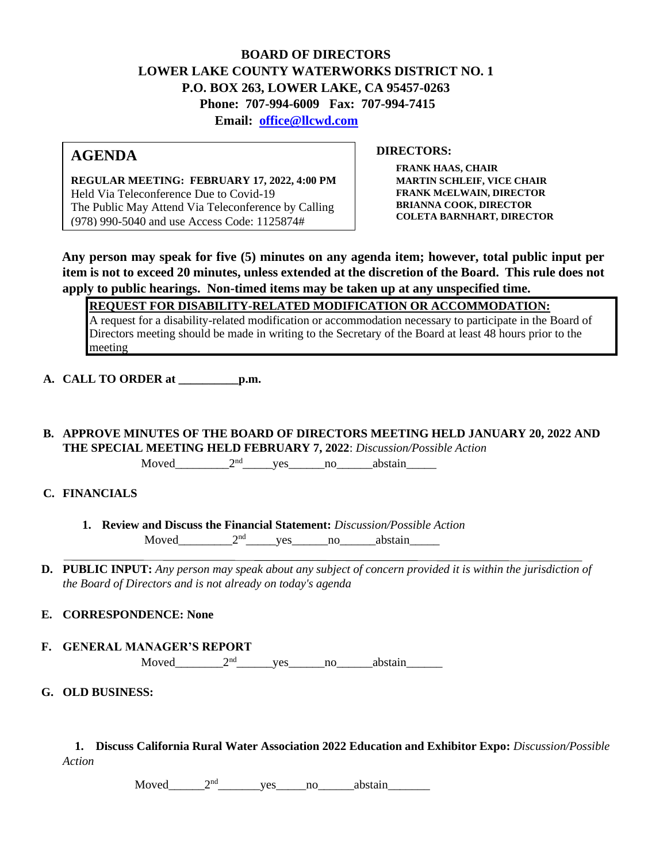## **BOARD OF DIRECTORS LOWER LAKE COUNTY WATERWORKS DISTRICT NO. 1 P.O. BOX 263, LOWER LAKE, CA 95457-0263 Phone: 707-994-6009 Fax: 707-994-7415 Email: office@llcwd.com**

# **AGENDA**

**REGULAR MEETING: FEBRUARY 17, 2022, 4:00 PM**  Held Via Teleconference Due to Covid-19 The Public May Attend Via Teleconference by Calling (978) 990-5040 and use Access Code: 1125874#

**DIRECTORS:** 

**FRANK HAAS, CHAIR MARTIN SCHLEIF, VICE CHAIR FRANK McELWAIN, DIRECTOR BRIANNA COOK, DIRECTOR COLETA BARNHART, DIRECTOR**

**Any person may speak for five (5) minutes on any agenda item; however, total public input per item is not to exceed 20 minutes, unless extended at the discretion of the Board. This rule does not apply to public hearings. Non-timed items may be taken up at any unspecified time.** 

**REQUEST FOR DISABILITY-RELATED MODIFICATION OR ACCOMMODATION:**

A request for a disability-related modification or accommodation necessary to participate in the Board of Directors meeting should be made in writing to the Secretary of the Board at least 48 hours prior to the meeting

**A. CALL TO ORDER at \_\_\_\_\_\_\_\_\_\_p.m.** 

**B. APPROVE MINUTES OF THE BOARD OF DIRECTORS MEETING HELD JANUARY 20, 2022 AND THE SPECIAL MEETING HELD FEBRUARY 7, 2022**: *Discussion/Possible Action*

 $Moved$   $2<sup>nd</sup>$  yes no abstain

### **C. FINANCIALS**

- **1. Review and Discuss the Financial Statement:** *Discussion/Possible Action* Moved  $2<sup>nd</sup>$  yes no abstain
- **D. PUBLIC INPUT:** *Any person may speak about any subject of concern provided it is within the jurisdiction of the Board of Directors and is not already on today's agenda*

### **E. CORRESPONDENCE: None**

- **F. GENERAL MANAGER'S REPORT** Moved  $2<sup>nd</sup>$  ves no abstain
- **G. OLD BUSINESS:**

**1. Discuss California Rural Water Association 2022 Education and Exhibitor Expo:** *Discussion/Possible Action* 

Moved\_\_\_\_\_\_\_2<sup>nd</sup>\_\_\_\_\_\_\_\_yes\_\_\_\_\_no\_\_\_\_\_\_abstain\_\_\_\_\_\_\_